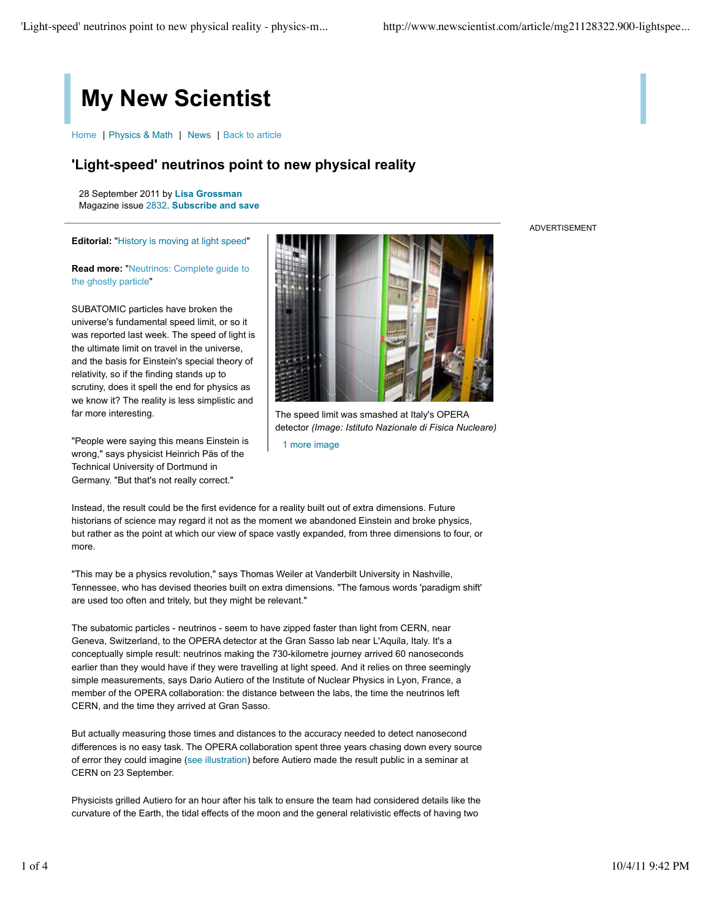## **My New Scientist**

Home | Physics & Math | News | Back to article

## **'Light-speed' neutrinos point to new physical reality**

28 September 2011 by **Lisa Grossman** Magazine issue 2832. **Subscribe and save**

**Editorial:** "History is moving at light speed"

**Read more:** "Neutrinos: Complete guide to the ghostly particle"

SUBATOMIC particles have broken the universe's fundamental speed limit, or so it was reported last week. The speed of light is the ultimate limit on travel in the universe, and the basis for Einstein's special theory of relativity, so if the finding stands up to scrutiny, does it spell the end for physics as we know it? The reality is less simplistic and far more interesting.

"People were saying this means Einstein is wrong," says physicist Heinrich Päs of the Technical University of Dortmund in Germany. "But that's not really correct."



The speed limit was smashed at Italy's OPERA detector *(Image: Istituto Nazionale di Fisica Nucleare)* 1 more image

Instead, the result could be the first evidence for a reality built out of extra dimensions. Future historians of science may regard it not as the moment we abandoned Einstein and broke physics, but rather as the point at which our view of space vastly expanded, from three dimensions to four, or more.

"This may be a physics revolution," says Thomas Weiler at Vanderbilt University in Nashville, Tennessee, who has devised theories built on extra dimensions. "The famous words 'paradigm shift' are used too often and tritely, but they might be relevant."

The subatomic particles - neutrinos - seem to have zipped faster than light from CERN, near Geneva, Switzerland, to the OPERA detector at the Gran Sasso lab near L'Aquila, Italy. It's a conceptually simple result: neutrinos making the 730-kilometre journey arrived 60 nanoseconds earlier than they would have if they were travelling at light speed. And it relies on three seemingly simple measurements, says Dario Autiero of the Institute of Nuclear Physics in Lyon, France, a member of the OPERA collaboration: the distance between the labs, the time the neutrinos left CERN, and the time they arrived at Gran Sasso.

But actually measuring those times and distances to the accuracy needed to detect nanosecond differences is no easy task. The OPERA collaboration spent three years chasing down every source of error they could imagine (see illustration) before Autiero made the result public in a seminar at CERN on 23 September.

Physicists grilled Autiero for an hour after his talk to ensure the team had considered details like the curvature of the Earth, the tidal effects of the moon and the general relativistic effects of having two

ADVERTISEMENT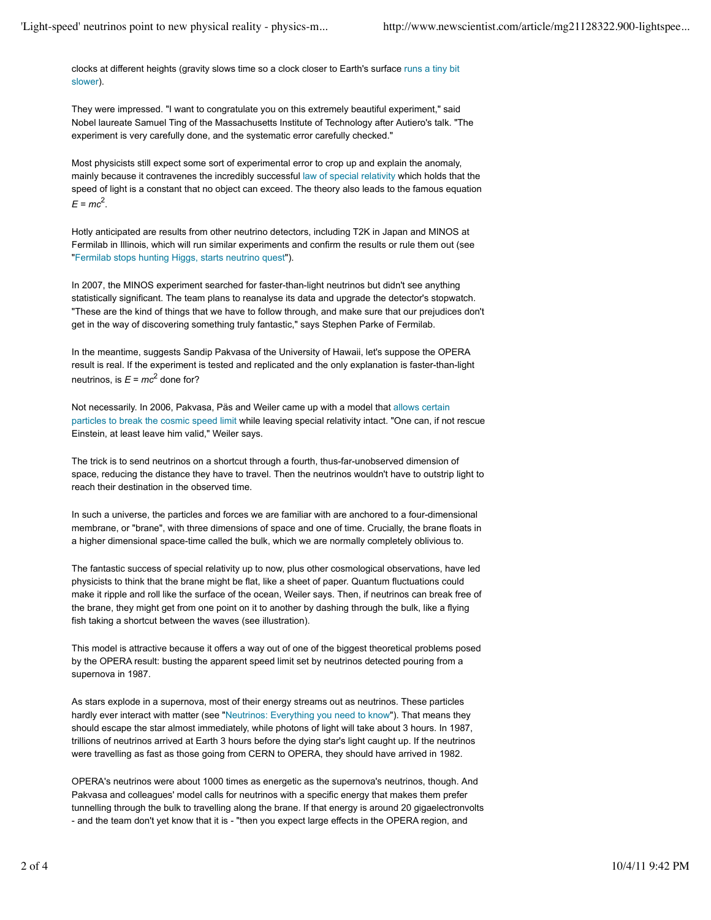clocks at different heights (gravity slows time so a clock closer to Earth's surface runs a tiny bit slower).

They were impressed. "I want to congratulate you on this extremely beautiful experiment," said Nobel laureate Samuel Ting of the Massachusetts Institute of Technology after Autiero's talk. "The experiment is very carefully done, and the systematic error carefully checked."

Most physicists still expect some sort of experimental error to crop up and explain the anomaly, mainly because it contravenes the incredibly successful law of special relativity which holds that the speed of light is a constant that no object can exceed. The theory also leads to the famous equation  $E = mc^2$ .

Hotly anticipated are results from other neutrino detectors, including T2K in Japan and MINOS at Fermilab in Illinois, which will run similar experiments and confirm the results or rule them out (see "Fermilab stops hunting Higgs, starts neutrino quest").

In 2007, the MINOS experiment searched for faster-than-light neutrinos but didn't see anything statistically significant. The team plans to reanalyse its data and upgrade the detector's stopwatch. "These are the kind of things that we have to follow through, and make sure that our prejudices don't get in the way of discovering something truly fantastic," says Stephen Parke of Fermilab.

In the meantime, suggests Sandip Pakvasa of the University of Hawaii, let's suppose the OPERA result is real. If the experiment is tested and replicated and the only explanation is faster-than-light neutrinos, is  $E = mc^2$  done for?

Not necessarily. In 2006, Pakvasa, Päs and Weiler came up with a model that allows certain particles to break the cosmic speed limit while leaving special relativity intact. "One can, if not rescue Einstein, at least leave him valid," Weiler says.

The trick is to send neutrinos on a shortcut through a fourth, thus-far-unobserved dimension of space, reducing the distance they have to travel. Then the neutrinos wouldn't have to outstrip light to reach their destination in the observed time.

In such a universe, the particles and forces we are familiar with are anchored to a four-dimensional membrane, or "brane", with three dimensions of space and one of time. Crucially, the brane floats in a higher dimensional space-time called the bulk, which we are normally completely oblivious to.

The fantastic success of special relativity up to now, plus other cosmological observations, have led physicists to think that the brane might be flat, like a sheet of paper. Quantum fluctuations could make it ripple and roll like the surface of the ocean, Weiler says. Then, if neutrinos can break free of the brane, they might get from one point on it to another by dashing through the bulk, like a flying fish taking a shortcut between the waves (see illustration).

This model is attractive because it offers a way out of one of the biggest theoretical problems posed by the OPERA result: busting the apparent speed limit set by neutrinos detected pouring from a supernova in 1987.

As stars explode in a supernova, most of their energy streams out as neutrinos. These particles hardly ever interact with matter (see "Neutrinos: Everything you need to know"). That means they should escape the star almost immediately, while photons of light will take about 3 hours. In 1987, trillions of neutrinos arrived at Earth 3 hours before the dying star's light caught up. If the neutrinos were travelling as fast as those going from CERN to OPERA, they should have arrived in 1982.

OPERA's neutrinos were about 1000 times as energetic as the supernova's neutrinos, though. And Pakvasa and colleagues' model calls for neutrinos with a specific energy that makes them prefer tunnelling through the bulk to travelling along the brane. If that energy is around 20 gigaelectronvolts - and the team don't yet know that it is - "then you expect large effects in the OPERA region, and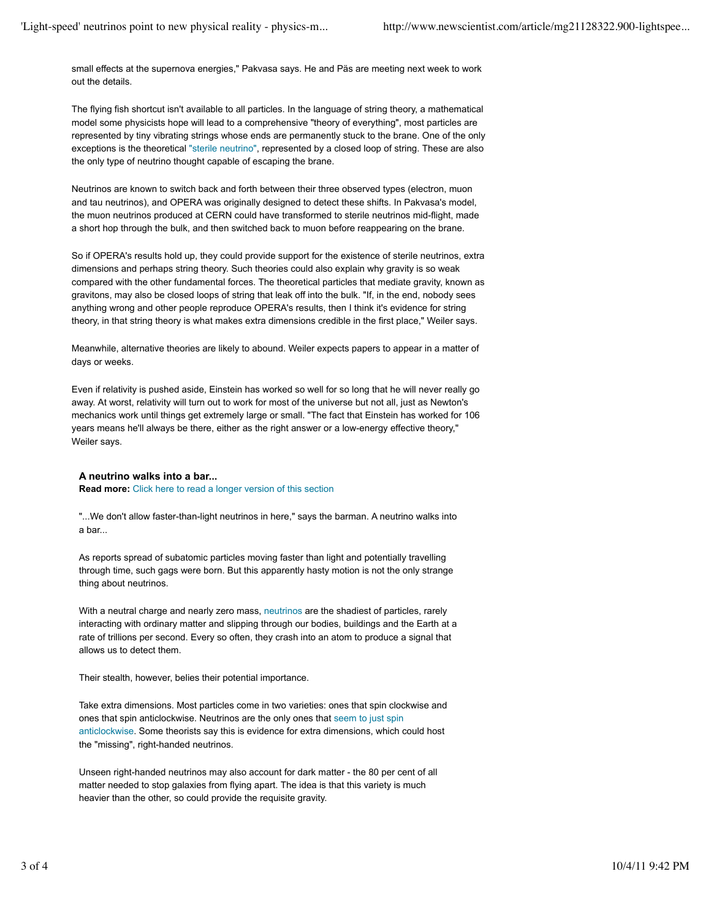small effects at the supernova energies," Pakvasa says. He and Päs are meeting next week to work out the details.

The flying fish shortcut isn't available to all particles. In the language of string theory, a mathematical model some physicists hope will lead to a comprehensive "theory of everything", most particles are represented by tiny vibrating strings whose ends are permanently stuck to the brane. One of the only exceptions is the theoretical "sterile neutrino", represented by a closed loop of string. These are also the only type of neutrino thought capable of escaping the brane.

Neutrinos are known to switch back and forth between their three observed types (electron, muon and tau neutrinos), and OPERA was originally designed to detect these shifts. In Pakvasa's model, the muon neutrinos produced at CERN could have transformed to sterile neutrinos mid-flight, made a short hop through the bulk, and then switched back to muon before reappearing on the brane.

So if OPERA's results hold up, they could provide support for the existence of sterile neutrinos, extra dimensions and perhaps string theory. Such theories could also explain why gravity is so weak compared with the other fundamental forces. The theoretical particles that mediate gravity, known as gravitons, may also be closed loops of string that leak off into the bulk. "If, in the end, nobody sees anything wrong and other people reproduce OPERA's results, then I think it's evidence for string theory, in that string theory is what makes extra dimensions credible in the first place," Weiler says.

Meanwhile, alternative theories are likely to abound. Weiler expects papers to appear in a matter of days or weeks.

Even if relativity is pushed aside, Einstein has worked so well for so long that he will never really go away. At worst, relativity will turn out to work for most of the universe but not all, just as Newton's mechanics work until things get extremely large or small. "The fact that Einstein has worked for 106 years means he'll always be there, either as the right answer or a low-energy effective theory," Weiler says.

## **A neutrino walks into a bar...**

**Read more:** Click here to read a longer version of this section

"...We don't allow faster-than-light neutrinos in here," says the barman. A neutrino walks into a bar...

As reports spread of subatomic particles moving faster than light and potentially travelling through time, such gags were born. But this apparently hasty motion is not the only strange thing about neutrinos.

With a neutral charge and nearly zero mass, neutrinos are the shadiest of particles, rarely interacting with ordinary matter and slipping through our bodies, buildings and the Earth at a rate of trillions per second. Every so often, they crash into an atom to produce a signal that allows us to detect them.

Their stealth, however, belies their potential importance.

Take extra dimensions. Most particles come in two varieties: ones that spin clockwise and ones that spin anticlockwise. Neutrinos are the only ones that seem to just spin anticlockwise. Some theorists say this is evidence for extra dimensions, which could host the "missing", right-handed neutrinos.

Unseen right-handed neutrinos may also account for dark matter - the 80 per cent of all matter needed to stop galaxies from flying apart. The idea is that this variety is much heavier than the other, so could provide the requisite gravity.